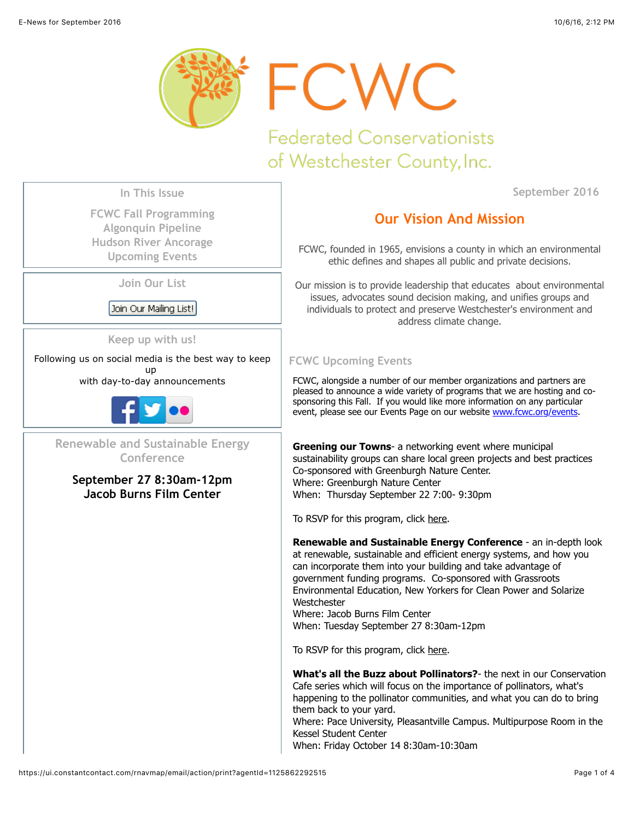

**Federated Conservationists** of Westchester County, Inc.

**September 2016**

**In This Issue**

**[FCWC Fall Programming](https://ui.constantcontact.com/rnavmap/email/action/print?agentId=1125862292515#LETTER.BLOCK15) [Algonquin Pipeline](https://ui.constantcontact.com/rnavmap/email/action/print?agentId=1125862292515#LETTER.BLOCK16) [Hudson River Ancorage](https://ui.constantcontact.com/rnavmap/email/action/print?agentId=1125862292515#LETTER.BLOCK17) [Upcoming Events](https://ui.constantcontact.com/rnavmap/email/action/print?agentId=1125862292515#LETTER.BLOCK19)**

**Join Our List**

Join Our Mailing List!

**Keep up with us!**

Following us on social media is the best way to keep up

with day-to-day announcements



**Renewable and Sustainable Energy Conference**

**September 27 8:30am-12pm Jacob Burns Film Center**

# **Our Vision And Mission**

FCWC, founded in 1965, envisions a county in which an environmental ethic defines and shapes all public and private decisions.

Our mission is to provide leadership that educates about environmental issues, advocates sound decision making, and unifies groups and individuals to protect and preserve Westchester's environment and address climate change.

# **FCWC Upcoming Events**

FCWC, alongside a number of our member organizations and partners are pleased to announce a wide variety of programs that we are hosting and cosponsoring this Fall. If you would like more information on any particular event, please see our Events Page on our website [www.fcwc.org/events.](http://www.fcwc.org/events)

**Greening our Towns**- a networking event where municipal sustainability groups can share local green projects and best practices Co-sponsored with Greenburgh Nature Center. Where: Greenburgh Nature Center When: Thursday September 22 7:00- 9:30pm

To RSVP for this program, click [here.](https://www.eventbrite.com/e/greening-our-towns-a-networking-event-for-sustainable-municipal-practices-tickets-27055138648)

**Renewable and Sustainable Energy Conference** - an in-depth look at renewable, sustainable and efficient energy systems, and how you can incorporate them into your building and take advantage of government funding programs. Co-sponsored with Grassroots Environmental Education, New Yorkers for Clean Power and Solarize **Westchester** Where: Jacob Burns Film Center

When: Tuesday September 27 8:30am-12pm

To RSVP for this program, click [here.](https://events.r20.constantcontact.com/register/eventReg?oeidk=a07ed2so7iue506a5c0&oseq=&c=&ch=)

**What's all the Buzz about Pollinators?**- the next in our Conservation Cafe series which will focus on the importance of pollinators, what's happening to the pollinator communities, and what you can do to bring them back to your yard. Where: Pace University, Pleasantville Campus. Multipurpose Room in the Kessel Student Center

When: Friday October 14 8:30am-10:30am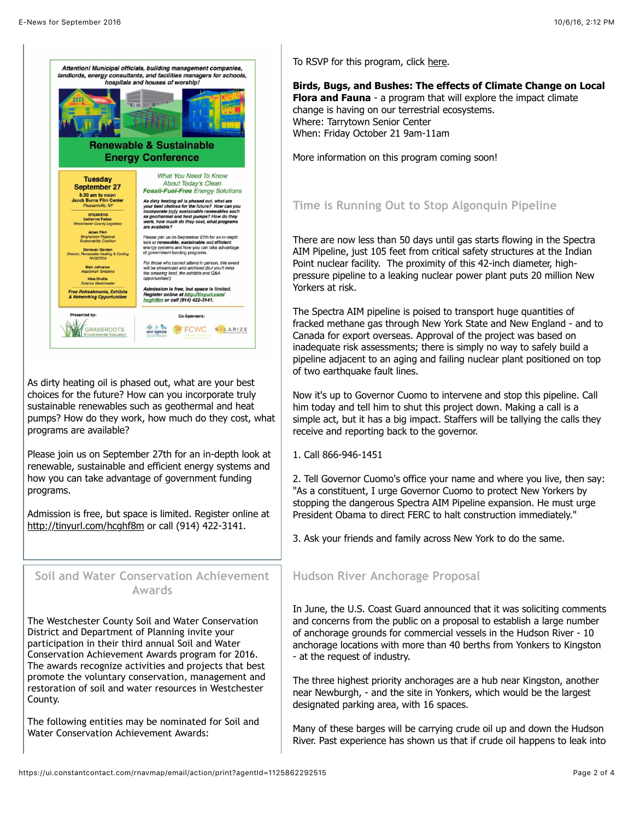

As dirty heating oil is phased out, what are your best choices for the future? How can you incorporate truly sustainable renewables such as geothermal and heat pumps? How do they work, how much do they cost, what programs are available?

Please join us on September 27th for an in-depth look at renewable, sustainable and efficient energy systems and how you can take advantage of government funding programs.

Admission is free, but space is limited. Register online at <http://tinyurl.com/hcghf8m>or call (914) 422-3141.

### **Soil and Water Conservation Achievement Awards**

The Westchester County Soil and Water Conservation District and Department of Planning invite your participation in their third annual Soil and Water Conservation Achievement Awards program for 2016. The awards recognize activities and projects that best promote the voluntary conservation, management and restoration of soil and water resources in Westchester County.

The following entities may be nominated for Soil and Water Conservation Achievement Awards:

To RSVP for this program, click [here.](https://www.eventbrite.com/e/all-the-buzz-about-pollinators-tickets-27467527113)

**Birds, Bugs, and Bushes: The effects of Climate Change on Local Flora and Fauna** - a program that will explore the impact climate change is having on our terrestrial ecosystems. Where: Tarrytown Senior Center When: Friday October 21 9am-11am

More information on this program coming soon!

## **Time is Running Out to Stop Algonquin Pipeline**

There are now less than 50 days until gas starts flowing in the Spectra AIM Pipeline, just 105 feet from critical safety structures at the Indian Point nuclear facility. The proximity of this 42-inch diameter, highpressure pipeline to a leaking nuclear power plant puts 20 million New Yorkers at risk.

The Spectra AIM pipeline is poised to transport huge quantities of fracked methane gas through New York State and New England - and to Canada for export overseas. Approval of the project was based on inadequate risk assessments; there is simply no way to safely build a pipeline adjacent to an aging and failing nuclear plant positioned on top of two earthquake fault lines.

Now it's up to Governor Cuomo to intervene and stop this pipeline. Call him today and tell him to shut this project down. Making a call is a simple act, but it has a big impact. Staffers will be tallying the calls they receive and reporting back to the governor.

1. Call 866-946-1451

2. Tell Governor Cuomo's office your name and where you live, then say: "As a constituent, I urge Governor Cuomo to protect New Yorkers by stopping the dangerous Spectra AIM Pipeline expansion. He must urge President Obama to direct FERC to halt construction immediately."

3. Ask your friends and family across New York to do the same.

### **Hudson River Anchorage Proposal**

In June, the U.S. Coast Guard announced that it was soliciting comments and concerns from the public on a proposal to establish a large number of anchorage grounds for commercial vessels in the Hudson River - 10 anchorage locations with more than 40 berths from Yonkers to Kingston - at the request of industry.

The three highest priority anchorages are a hub near Kingston, another near Newburgh, - and the site in Yonkers, which would be the largest designated parking area, with 16 spaces.

Many of these barges will be carrying crude oil up and down the Hudson River. Past experience has shown us that if crude oil happens to leak into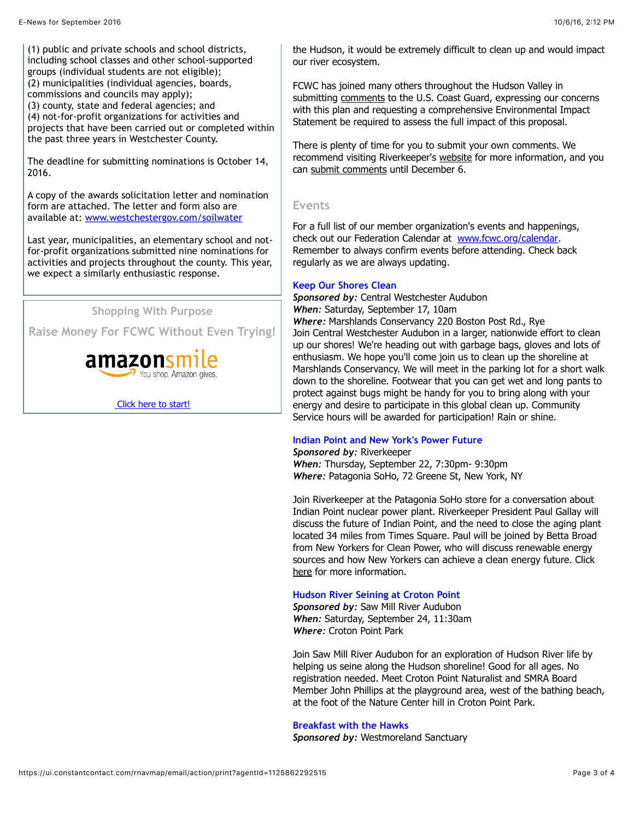(1) public and private schools and school districts, including school classes and other school-supported groups (individual students are not eligible); (2) municipalities (individual agencies, boards, commissions and councils may apply);

(3) county, state and federal agencies; and

(4) not-for-profit organizations for activities and

projects that have been carried out or completed within the past three years in Westchester County.

The deadline for submitting nominations is October 14, 2016.

A copy of the awards solicitation letter and nomination form are attached. The letter and form also are available at: [www.westchestergov.com/soilwater](http://www.westchestergov.com/soilwater)

Last year, municipalities, an elementary school and notfor-profit organizations submitted nine nominations for activities and projects throughout the county. This year, we expect a similarly enthusiastic response.

**Shopping With Purpose**

**Raise Money For FCWC Without Even Trying!**



 [Click here to start!](http://smile.amazon.com/gp/charity/homepage.html?orig=%2Fgp%2Fbrowse.html%3Fnode%3D11448061011&ein=23-7318743)

the Hudson, it would be extremely difficult to clean up and would impact our river ecosystem.

FCWC has joined many others throughout the Hudson Valley in submitting [comments](http://www.fcwc.org/current-alerts) to the U.S. Coast Guard, expressing our concerns with this plan and requesting a comprehensive Environmental Impact Statement be required to assess the full impact of this proposal.

There is plenty of time for you to submit your own comments. We recommend visiting Riverkeeper's [website](http://www.riverkeeper.org/patrol/6-things-know-proposed-hudson-river-anchorages/) for more information, and you can [submit comments](https://www.regulations.gov/comment?D=USCG-2016-0132-0001) until December 6.

#### **Events**

For a full list of our member organization's events and happenings, check out our Federation Calendar at [www.fcwc.org/calendar](http://www.fcwc.org/#!calendar/czy8). Remember to always confirm events before attending. Check back regularly as we are always updating.

#### **Keep Our Shores Clean**

*Sponsored by:* Central Westchester Audubon *When:* Saturday, September 17, 10am

*Where:* Marshlands Conservancy 220 Boston Post Rd., Rye Join Central Westchester Audubon in a larger, nationwide effort to clean up our shores! We're heading out with garbage bags, gloves and lots of enthusiasm. We hope you'll come join us to clean up the shoreline at Marshlands Conservancy. We will meet in the parking lot for a short walk down to the shoreline. Footwear that you can get wet and long pants to protect against bugs might be handy for you to bring along with your energy and desire to participate in this global clean up. Community Service hours will be awarded for participation! Rain or shine.

#### **Indian Point and New York's Power Future**

*Sponsored by:* Riverkeeper *When:* Thursday, September 22, 7:30pm- 9:30pm *Where:* Patagonia SoHo, 72 Greene St, New York, NY

Join Riverkeeper at the Patagonia SoHo store for a conversation about Indian Point nuclear power plant. Riverkeeper President Paul Gallay will discuss the future of Indian Point, and the need to close the aging plant located 34 miles from Times Square. Paul will be joined by Betta Broad from New Yorkers for Clean Power, who will discuss renewable energy sources and how New Yorkers can achieve a clean energy future. Click [here](http://www.riverkeeper.org/news-events/events/rvk-events/riverkeeper-river-talk-at-patagonia-soho/) for more information.

#### **Hudson River Seining at Croton Point**

*Sponsored by:* Saw Mill River Audubon *When:* Saturday, September 24, 11:30am *Where:* Croton Point Park

Join Saw Mill River Audubon for an exploration of Hudson River life by helping us seine along the Hudson shoreline! Good for all ages. No registration needed. Meet Croton Point Naturalist and SMRA Board Member John Phillips at the playground area, west of the bathing beach, at the foot of the Nature Center hill in Croton Point Park.

#### **Breakfast with the Hawks**

*Sponsored by:* Westmoreland Sanctuary